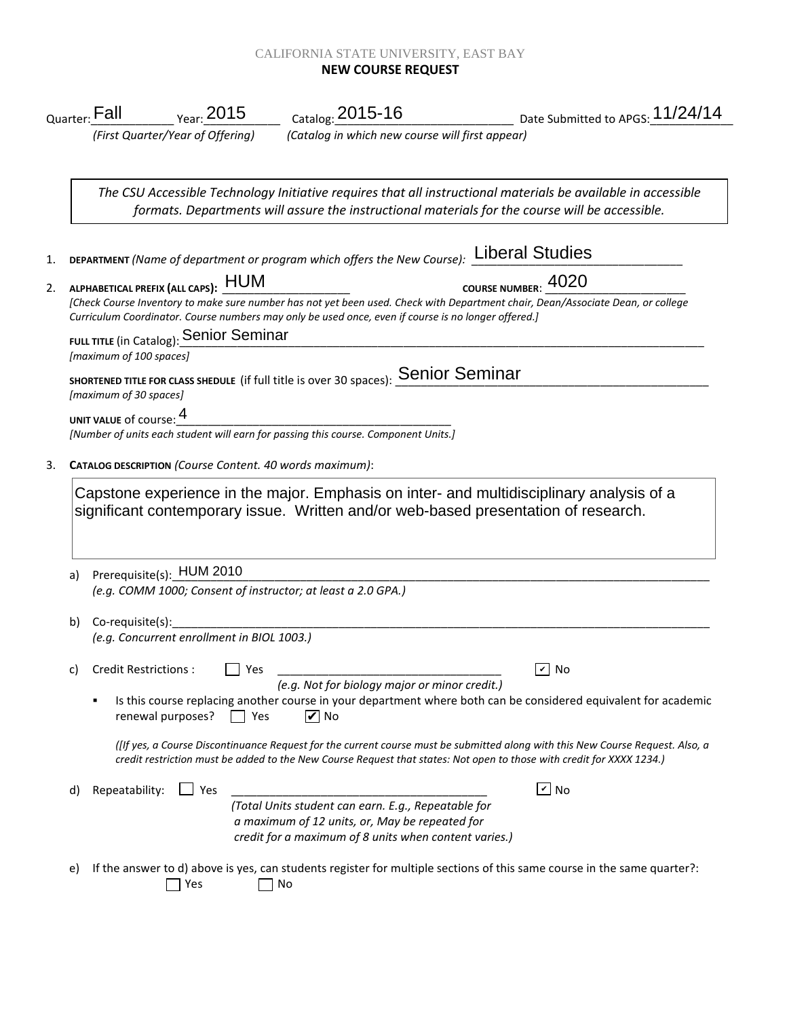## CALIFORNIA STATE UNIVERSITY, EAST BAY **NEW COURSE REQUEST**

|    | $\frac{1}{2015}$ $\frac{2015}{2015}$ $\frac{1}{2015}$ $\frac{2015-16}{2015}$<br>$_{\mathsf{Quarter:}}$ Fall                                              |                                                                                                                                                                | ___________________________ Date Submitted to APGS: <mark>11/</mark> 24/14                                                                                                                                                                             |  |  |
|----|----------------------------------------------------------------------------------------------------------------------------------------------------------|----------------------------------------------------------------------------------------------------------------------------------------------------------------|--------------------------------------------------------------------------------------------------------------------------------------------------------------------------------------------------------------------------------------------------------|--|--|
|    | (First Quarter/Year of Offering)                                                                                                                         | (Catalog in which new course will first appear)                                                                                                                |                                                                                                                                                                                                                                                        |  |  |
|    |                                                                                                                                                          |                                                                                                                                                                | The CSU Accessible Technology Initiative requires that all instructional materials be available in accessible<br>formats. Departments will assure the instructional materials for the course will be accessible.                                       |  |  |
|    | DEPARTMENT (Name of department or program which offers the New Course): Liberal Studies<br>ALPHABETICAL PREFIX (ALL CAPS): HUM<br>course NUMBER: 4020    |                                                                                                                                                                |                                                                                                                                                                                                                                                        |  |  |
|    | 2. ALPHABETICAL PREFIX (ALL CAPS): HUM<br>Curriculum Coordinator. Course numbers may only be used once, even if course is no longer offered.]            |                                                                                                                                                                | [Check Course Inventory to make sure number has not yet been used. Check with Department chair, Dean/Associate Dean, or college                                                                                                                        |  |  |
|    | FULL TITLE (in Catalog): Senior Seminar<br>[maximum of 100 spaces]                                                                                       |                                                                                                                                                                |                                                                                                                                                                                                                                                        |  |  |
|    | SHORTENED TITLE FOR CLASS SHEDULE (if full title is over 30 spaces): Senior Seminar<br>[maximum of 30 spaces]                                            |                                                                                                                                                                |                                                                                                                                                                                                                                                        |  |  |
|    | UNIT VALUE of course: 4<br>UNIT VALUE of course: $\frac{1}{\sqrt{2}}$ [Number of units each student will earn for passing this course. Component Units.] |                                                                                                                                                                |                                                                                                                                                                                                                                                        |  |  |
|    |                                                                                                                                                          |                                                                                                                                                                |                                                                                                                                                                                                                                                        |  |  |
|    | significant contemporary issue. Written and/or web-based presentation of research.                                                                       |                                                                                                                                                                | Capstone experience in the major. Emphasis on inter- and multidisciplinary analysis of a                                                                                                                                                               |  |  |
| a) | Prerequisite(s): HUM 2010                                                                                                                                |                                                                                                                                                                |                                                                                                                                                                                                                                                        |  |  |
|    | (e.g. COMM 1000; Consent of instructor; at least a 2.0 GPA.)                                                                                             |                                                                                                                                                                |                                                                                                                                                                                                                                                        |  |  |
| b) | Co-requisite(s):<br>(e.g. Concurrent enrollment in BIOL 1003.)                                                                                           |                                                                                                                                                                |                                                                                                                                                                                                                                                        |  |  |
| c) | <b>Credit Restrictions:</b><br>Yes                                                                                                                       | (e.g. Not for biology major or minor credit.)                                                                                                                  | $\vee$ No                                                                                                                                                                                                                                              |  |  |
|    | ٠<br>renewal purposes?<br>$\vert$   Yes                                                                                                                  | $\overline{V}$ No                                                                                                                                              | Is this course replacing another course in your department where both can be considered equivalent for academic                                                                                                                                        |  |  |
|    |                                                                                                                                                          |                                                                                                                                                                | (If yes, a Course Discontinuance Request for the current course must be submitted along with this New Course Request. Also, a<br>credit restriction must be added to the New Course Request that states: Not open to those with credit for XXXX 1234.) |  |  |
| d) | Repeatability:<br>$\Box$ Yes                                                                                                                             |                                                                                                                                                                | $\boxed{\mathbf{v}}$ No                                                                                                                                                                                                                                |  |  |
|    |                                                                                                                                                          | (Total Units student can earn. E.g., Repeatable for<br>a maximum of 12 units, or, May be repeated for<br>credit for a maximum of 8 units when content varies.) |                                                                                                                                                                                                                                                        |  |  |
| e) | Yes<br>No                                                                                                                                                |                                                                                                                                                                | If the answer to d) above is yes, can students register for multiple sections of this same course in the same quarter?:                                                                                                                                |  |  |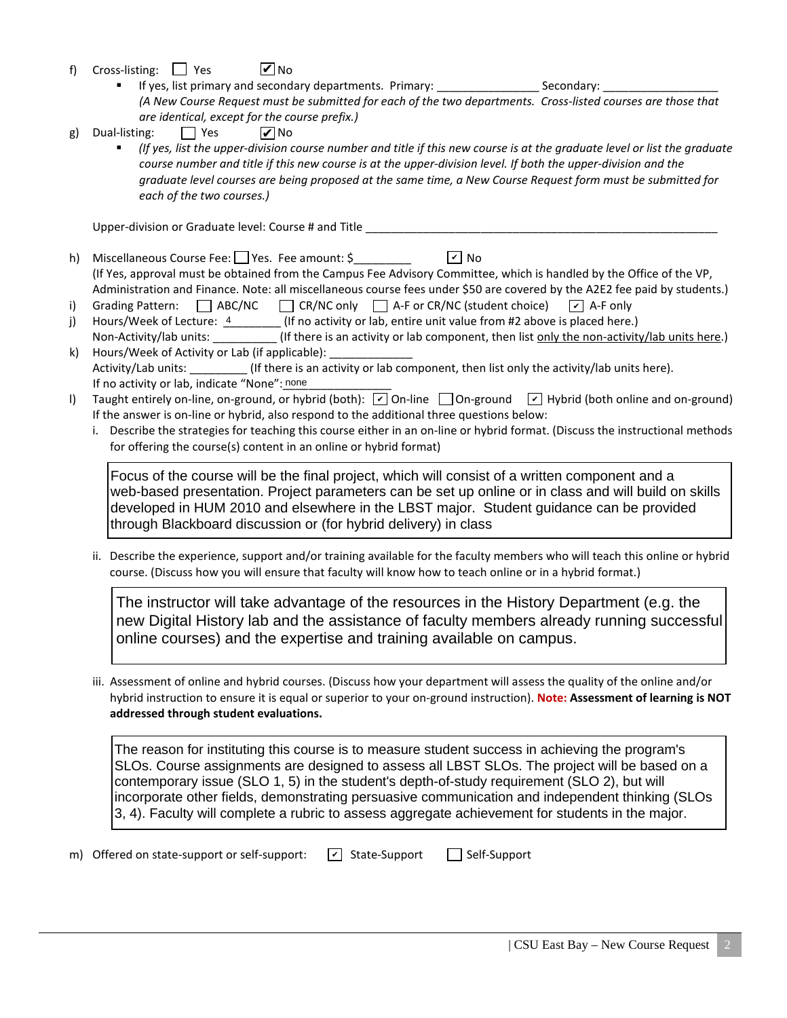- f) Cross-listing:  $\Box$  Yes **V** No
	- If yes, list primary and secondary departments. Primary: \_\_\_\_\_\_\_\_\_\_\_\_\_\_\_\_\_\_\_\_\_\_\_ Secondary: *(A New Course Request must be submitted for each of the two departments. Cross-listed courses are those that are identical, except for the course prefix.)*
- g) Dual-listing:  $\Box$  Yes **V** No
	- *(If yes, list the upper-division course number and title if this new course is at the graduate level or list the graduate*  course number and title if this new course is at the upper-division level. If both the upper-division and the *graduate level courses are being proposed at the same time, a New Course Request form must be submitted for each of the two courses.)*

Upper-division or Graduate level: Course # and Title \_\_\_\_\_\_\_\_\_\_\_\_\_\_\_\_\_\_\_\_\_\_\_\_\_\_\_

- h) Miscellaneous Course Fee:  $\Box$  Yes. Fee amount: \$ (If Yes, approval must be obtained from the Campus Fee Advisory Committee, which is handled by the Office of the VP, Administration and Finance. Note: all miscellaneous course fees under \$50 are covered by the A2E2 fee paid by students.)  $\sqrt{v}$  No
- i) Grading Pattern:  $\Box$  ABC/NC  $\Box$  CR/NC only  $\Box$  A-F or CR/NC (student choice)  $\sqrt{ }$  A-F only
- j) Hours/Week of Lecture:  $\frac{4}{1}$  (If no activity or lab, entire unit value from #2 above is placed here.) Non-Activity/lab units: \_\_\_\_\_\_\_\_\_\_\_(If there is an activity or lab component, then list only the non-activity/lab units here.)
- k) Hours/Week of Activity or Lab (if applicable): Activity/Lab units: \_\_\_\_\_\_\_\_\_ (If there is an activity or lab component, then list only the activity/lab units here). If no activity or lab, indicate "None": none
- I) Taught entirely on-line, on-ground, or hybrid (both): [On-line [On-ground [O] Hybrid (both online and on-ground) If the answer is on-line or hybrid, also respond to the additional three questions below:
	- i. Describe the strategies for teaching this course either in an on-line or hybrid format. (Discuss the instructional methods for offering the course(s) content in an online or hybrid format)

Focus of the course will be the final project, which will consist of a written component and a web-based presentation. Project parameters can be set up online or in class and will build on skills developed in HUM 2010 and elsewhere in the LBST major. Student guidance can be provided through Blackboard discussion or (for hybrid delivery) in class

ii. Describe the experience, support and/or training available for the faculty members who will teach this online or hybrid course. (Discuss how you will ensure that faculty will know how to teach online or in a hybrid format.)

The instructor will take advantage of the resources in the History Department (e.g. the new Digital History lab and the assistance of faculty members already running successful online courses) and the expertise and training available on campus.

iii. Assessment of online and hybrid courses. (Discuss how your department will assess the quality of the online and/or hybrid instruction to ensure it is equal or superior to your on-ground instruction). **Note: Assessment of learning is NOT addressed through student evaluations.**

The reason for instituting this course is to measure student success in achieving the program's SLOs. Course assignments are designed to assess all LBST SLOs. The project will be based on a contemporary issue (SLO 1, 5) in the student's depth-of-study requirement (SLO 2), but will incorporate other fields, demonstrating persuasive communication and independent thinking (SLOs 3, 4). Faculty will complete a rubric to assess aggregate achievement for students in the major.

m) Offered on state-support or self-support:  $\boxed{\checkmark}$  State-Support  $\boxed{\phantom{\checkmark}}$  Self-Support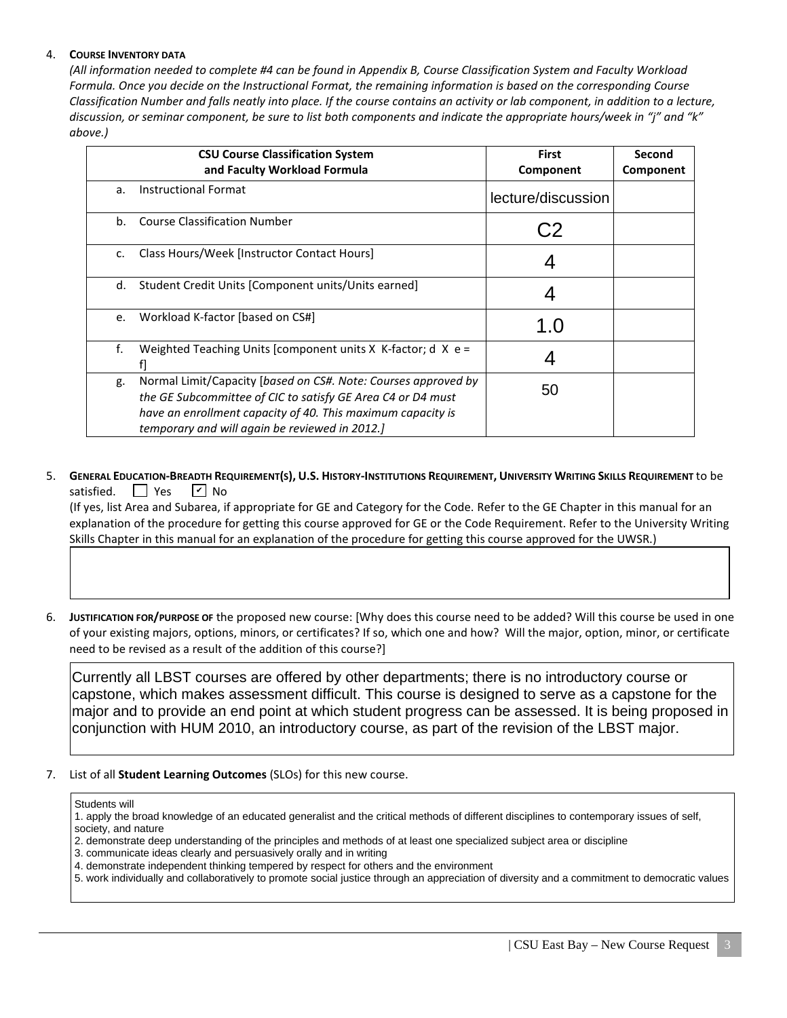## 4. **COURSE INVENTORY DATA**

*(All information needed to complete #4 can be found in Appendix B, Course Classification System and Faculty Workload Formula. Once you decide on the Instructional Format, the remaining information is based on the corresponding Course Classification Number and falls neatly into place. If the course contains an activity or lab component, in addition to a lecture, discussion, or seminar component, be sure to list both components and indicate the appropriate hours/week in "j" and "k" above.)*

| <b>CSU Course Classification System</b><br>and Faculty Workload Formula |                                                                                                                                                                                                                                                | <b>First</b><br>Component | Second<br>Component |
|-------------------------------------------------------------------------|------------------------------------------------------------------------------------------------------------------------------------------------------------------------------------------------------------------------------------------------|---------------------------|---------------------|
| a.                                                                      | <b>Instructional Format</b>                                                                                                                                                                                                                    | lecture/discussion        |                     |
| b.                                                                      | <b>Course Classification Number</b>                                                                                                                                                                                                            |                           |                     |
| $C_{\bullet}$                                                           | Class Hours/Week [Instructor Contact Hours]                                                                                                                                                                                                    |                           |                     |
| d.                                                                      | Student Credit Units [Component units/Units earned]                                                                                                                                                                                            |                           |                     |
| e.                                                                      | Workload K-factor [based on CS#]                                                                                                                                                                                                               | 1 ()                      |                     |
| f.                                                                      | Weighted Teaching Units [component units $X$ K-factor; d $X$ e =                                                                                                                                                                               |                           |                     |
| g.                                                                      | Normal Limit/Capacity [based on CS#. Note: Courses approved by<br>the GE Subcommittee of CIC to satisfy GE Area C4 or D4 must<br>have an enrollment capacity of 40. This maximum capacity is<br>temporary and will again be reviewed in 2012.] | 50                        |                     |

5. **GENERAL EDUCATION-BREADTH REQUIREMENT(S), U.S. HISTORY-INSTITUTIONS REQUIREMENT, UNIVERSITY WRITING SKILLS REQUIREMENT** to be satisfied.  $\Box$  Yes  $\sqrt{V}$  No

 (If yes, list Area and Subarea, if appropriate for GE and Category for the Code. Refer to the GE Chapter in this manual for an explanation of the procedure for getting this course approved for GE or the Code Requirement. Refer to the University Writing Skills Chapter in this manual for an explanation of the procedure for getting this course approved for the UWSR.)

6. **JUSTIFICATION FOR/PURPOSE OF** the proposed new course: [Why does this course need to be added? Will this course be used in one of your existing majors, options, minors, or certificates? If so, which one and how? Will the major, option, minor, or certificate need to be revised as a result of the addition of this course?]

Currently all LBST courses are offered by other departments; there is no introductory course or capstone, which makes assessment difficult. This course is designed to serve as a capstone for the major and to provide an end point at which student progress can be assessed. It is being proposed in conjunction with HUM 2010, an introductory course, as part of the revision of the LBST major.

7. List of all **Student Learning Outcomes** (SLOs) for this new course.

- 1. apply the broad knowledge of an educated generalist and the critical methods of different disciplines to contemporary issues of self, society, and nature
- 2. demonstrate deep understanding of the principles and methods of at least one specialized subject area or discipline
- 3. communicate ideas clearly and persuasively orally and in writing
- 4. demonstrate independent thinking tempered by respect for others and the environment
- 5. work individually and collaboratively to promote social justice through an appreciation of diversity and a commitment to democratic values

Students will